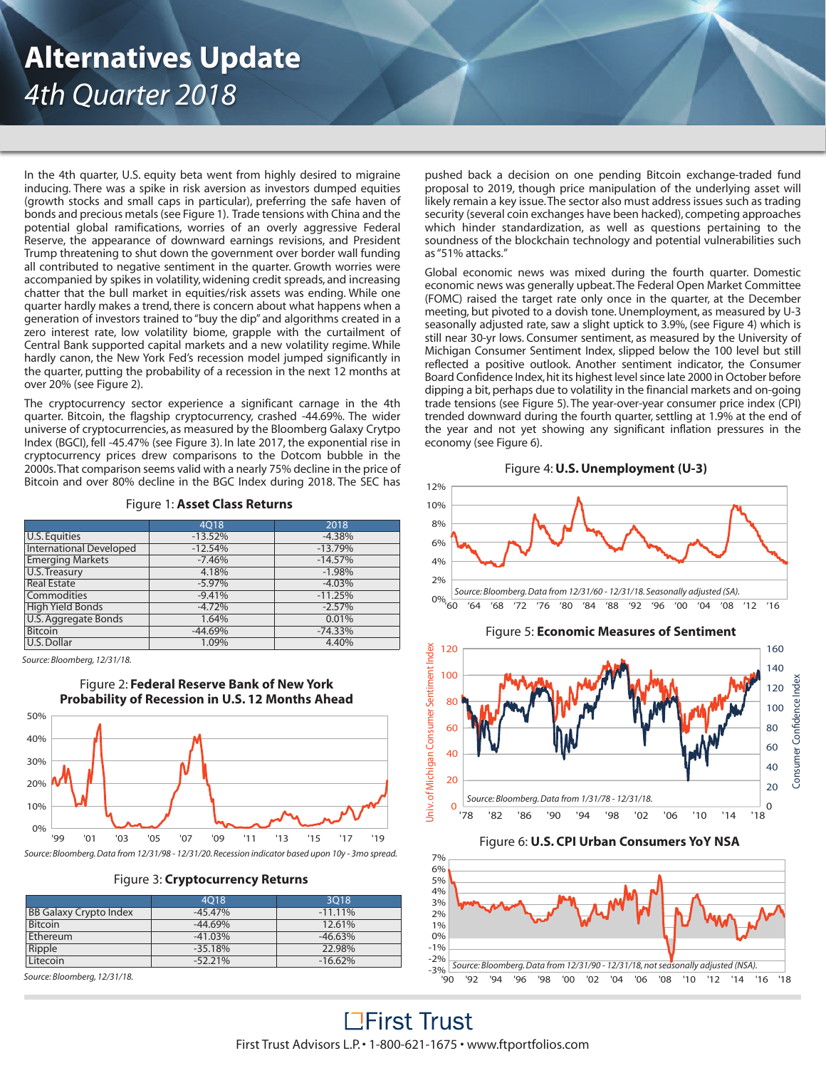# **Alternatives Update** *4th Quarter 2018*

In the 4th quarter, U.S. equity beta went from highly desired to migraine inducing. There was a spike in risk aversion as investors dumped equities (growth stocks and small caps in particular), preferring the safe haven of bonds and precious metals(see Figure 1). Trade tensions with China and the potential global ramifications, worries of an overly aggressive Federal Reserve, the appearance of downward earnings revisions, and President Trump threatening to shut down the government over border wall funding all contributed to negative sentiment in the quarter. Growth worries were accompanied by spikes in volatility, widening credit spreads, and increasing chatter that the bull market in equities/risk assets was ending. While one quarter hardly makes a trend, there is concern about what happens when a generation of investors trained to "buy the dip" and algorithms created in a zero interest rate, low volatility biome, grapple with the curtailment of Central Bank supported capital markets and a new volatility regime. While hardly canon, the New York Fed's recession model jumped significantly in the quarter, putting the probability of a recession in the next 12 months at over 20% (see Figure 2).

The cryptocurrency sector experience a significant carnage in the 4th quarter. Bitcoin, the flagship cryptocurrency, crashed -44.69%. The wider universe of cryptocurrencies, as measured by the Bloomberg Galaxy Crytpo Index (BGCI), fell -45.47% (see Figure 3). In late 2017, the exponential rise in cryptocurrency prices drew comparisons to the Dotcom bubble in the 2000s.That comparison seems valid with a nearly 75% decline in the price of Bitcoin and over 80% decline in the BGC Index during 2018. The SEC has

# Figure 1: **Asset Class Returns**

|                                | 4018      | 2018      |  |
|--------------------------------|-----------|-----------|--|
| U.S. Equities                  | $-13.52%$ | $-4.38%$  |  |
| <b>International Developed</b> | $-12.54%$ | $-13.79%$ |  |
| <b>Emerging Markets</b>        | $-7.46%$  | $-14.57%$ |  |
| U.S. Treasury                  | 4.18%     | $-1.98%$  |  |
| <b>Real Estate</b>             | $-5.97%$  | $-4.03%$  |  |
| Commodities                    | $-9.41%$  | $-11.25%$ |  |
| <b>High Yield Bonds</b>        | $-4.72%$  | $-2.57%$  |  |
| U.S. Aggregate Bonds           | 1.64%     | 0.01%     |  |
| <b>Bitcoin</b>                 | $-44.69%$ | $-74.33%$ |  |
| U.S. Dollar                    | 1.09%     | 4.40%     |  |

*Source: Bloomberg, 12/31/18.*



Figure 3: **Cryptocurrency Returns**

|                               | 4018      | 3018       |
|-------------------------------|-----------|------------|
| <b>BB Galaxy Crypto Index</b> | $-45.47%$ | $-11.11\%$ |
| <b>Bitcoin</b>                | $-44.69%$ | 12.61%     |
| Ethereum                      | $-41.03%$ | $-46.63\%$ |
| Ripple                        | $-35.18%$ | 22.98%     |
| Litecoin                      | $-52.21%$ | $-16.62%$  |

*Source: Bloomberg, 12/31/18.*

pushed back a decision on one pending Bitcoin exchange-traded fund proposal to 2019, though price manipulation of the underlying asset will likely remain a key issue.The sector also must address issues such as trading security (several coin exchanges have been hacked), competing approaches which hinder standardization, as well as questions pertaining to the soundness of the blockchain technology and potential vulnerabilities such as"51% attacks."

Global economic news was mixed during the fourth quarter. Domestic economic news was generally upbeat.The Federal Open Market Committee (FOMC) raised the target rate only once in the quarter, at the December meeting, but pivoted to a dovish tone. Unemployment, as measured by U-3 seasonally adjusted rate, saw a slight uptick to 3.9%, (see Figure 4) which is still near 30-yr lows. Consumer sentiment, as measured by the University of Michigan Consumer Sentiment Index, slipped below the 100 level but still reflected a positive outlook. Another sentiment indicator, the Consumer Board Confidence Index, hit its highest level since late 2000 in October before dipping a bit, perhaps due to volatility in the financial markets and on-going trade tensions (see Figure 5). The year-over-year consumer price index (CPI) trended downward during the fourth quarter, settling at 1.9% at the end of the year and not yet showing any significant inflation pressures in the economy (see Figure 6).

Figure 4:**U.S.Unemployment (U-3)**



# Figure 6: **U.S. CPI Urban Consumers YoY NSA**



**LEirst Trust** First Trust Advisors L.P.• 1-800-621-1675 • www.ftportfolios.com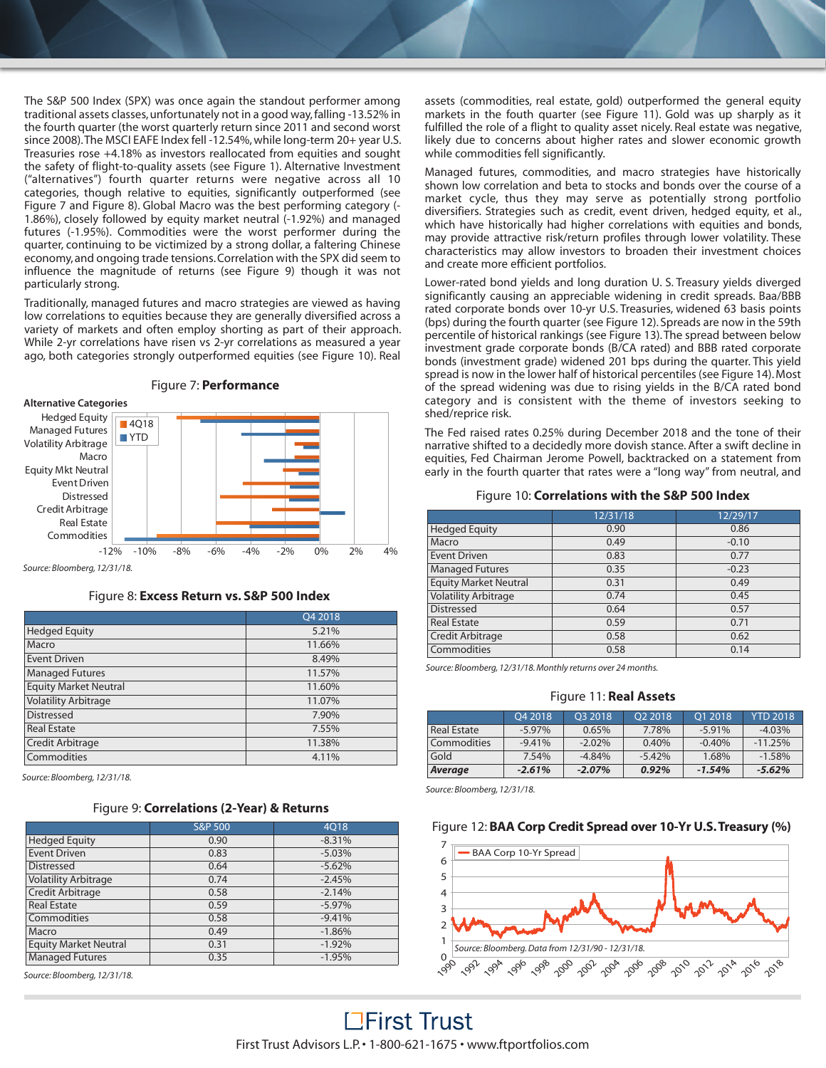The S&P 500 Index (SPX) was once again the standout performer among traditional assets classes, unfortunately not in a good way, falling -13.52% in the fourth quarter (the worst quarterly return since 2011 and second worst since 2008). The MSCI EAFE Index fell -12.54%, while long-term 20+ year U.S. Treasuries rose +4.18% as investors reallocated from equities and sought the safety of flight-to-quality assets (see Figure 1). Alternative Investment ("alternatives") fourth quarter returns were negative across all 10 categories, though relative to equities, significantly outperformed (see Figure 7 and Figure 8). Global Macro was the best performing category (- 1.86%), closely followed by equity market neutral (-1.92%) and managed futures (-1.95%). Commodities were the worst performer during the quarter, continuing to be victimized by a strong dollar, a faltering Chinese economy,and ongoing trade tensions.Correlation with the SPX did seem to influence the magnitude of returns (see Figure 9) though it was not particularly strong.

Traditionally, managed futures and macro strategies are viewed as having low correlations to equities because they are generally diversified across a variety of markets and often employ shorting as part of their approach. While 2-yr correlations have risen vs 2-yr correlations as measured a year ago, both categories strongly outperformed equities (see Figure 10). Real



*Source: Bloomberg, 12/31/18.*

# Figure 8: **Excess Return vs. S&P 500 Index**

|                              | Q4 2018 |
|------------------------------|---------|
| <b>Hedged Equity</b>         | 5.21%   |
| Macro                        | 11.66%  |
| <b>Event Driven</b>          | 8.49%   |
| <b>Managed Futures</b>       | 11.57%  |
| <b>Equity Market Neutral</b> | 11.60%  |
| <b>Volatility Arbitrage</b>  | 11.07%  |
| <b>Distressed</b>            | 7.90%   |
| <b>Real Estate</b>           | 7.55%   |
| Credit Arbitrage             | 11.38%  |
| Commodities                  | 4.11%   |

*Source: Bloomberg, 12/31/18.*

# Figure 9: **Correlations (2-Year) & Returns**

|                              | <b>S&amp;P 500</b> | 4018     |  |
|------------------------------|--------------------|----------|--|
| <b>Hedged Equity</b>         | 0.90               | $-8.31%$ |  |
| <b>Event Driven</b>          | 0.83               | $-5.03%$ |  |
| <b>Distressed</b>            | 0.64               | $-5.62%$ |  |
| <b>Volatility Arbitrage</b>  | 0.74               | $-2.45%$ |  |
| Credit Arbitrage             | 0.58               | $-2.14%$ |  |
| <b>Real Estate</b>           | 0.59               | $-5.97%$ |  |
| Commodities                  | 0.58               | $-9.41%$ |  |
| Macro                        | 0.49               | $-1.86%$ |  |
| <b>Equity Market Neutral</b> | 0.31               | $-1.92%$ |  |
| <b>Managed Futures</b>       | 0.35               | $-1.95%$ |  |

*Source: Bloomberg, 12/31/18.*

assets (commodities, real estate, gold) outperformed the general equity markets in the fouth quarter (see Figure 11). Gold was up sharply as it fulfilled the role of a flight to quality asset nicely. Real estate was negative, likely due to concerns about higher rates and slower economic growth while commodities fell significantly.

Managed futures, commodities, and macro strategies have historically shown low correlation and beta to stocks and bonds over the course of a market cycle, thus they may serve as potentially strong portfolio diversifiers. Strategies such as credit, event driven, hedged equity, et al., which have historically had higher correlations with equities and bonds, may provide attractive risk/return profiles through lower volatility. These characteristics may allow investors to broaden their investment choices and create more efficient portfolios.

Lower-rated bond yields and long duration U. S. Treasury yields diverged significantly causing an appreciable widening in credit spreads. Baa/BBB rated corporate bonds over 10-yr U.S. Treasuries, widened 63 basis points (bps) during the fourth quarter (see Figure 12). Spreads are now in the 59th percentile of historical rankings (see Figure 13).The spread between below investment grade corporate bonds (B/CA rated) and BBB rated corporate bonds (investment grade) widened 201 bps during the quarter. This yield spread is now in the lower half of historical percentiles (see Figure 14).Most of the spread widening was due to rising yields in the B/CA rated bond category and is consistent with the theme of investors seeking to shed/reprice risk.

The Fed raised rates 0.25% during December 2018 and the tone of their narrative shifted to a decidedly more dovish stance. After a swift decline in equities, Fed Chairman Jerome Powell, backtracked on a statement from early in the fourth quarter that rates were a "long way" from neutral, and

# Figure 10: **Correlations with the S&P 500 Index**

|                              | 12/31/18<br>12/29/17 |         |  |
|------------------------------|----------------------|---------|--|
| <b>Hedged Equity</b>         | 0.90                 | 0.86    |  |
| Macro                        | 0.49                 | $-0.10$ |  |
| <b>Event Driven</b>          | 0.83                 | 0.77    |  |
| <b>Managed Futures</b>       | 0.35                 | $-0.23$ |  |
| <b>Equity Market Neutral</b> | 0.31                 | 0.49    |  |
| <b>Volatility Arbitrage</b>  | 0.74                 | 0.45    |  |
| <b>Distressed</b>            | 0.64                 | 0.57    |  |
| <b>Real Estate</b>           | 0.59                 | 0.71    |  |
| Credit Arbitrage             | 0.58                 | 0.62    |  |
| Commodities                  | 0.58                 | 0.14    |  |

*Source: Bloomberg, 12/31/18.Monthly returns over 24 months.*

#### Figure 11: **Real Assets**

|             | O <sub>4</sub> 2018 | O <sub>3</sub> 2018 | O <sub>2</sub> 2018 | O1 2018  | <b>YTD 2018</b> |
|-------------|---------------------|---------------------|---------------------|----------|-----------------|
| Real Estate | $-5.97%$            | 0.65%               | 7.78%               | $-5.91%$ | $-4.03%$        |
| Commodities | $-9.41%$            | $-2.02%$            | 0.40%               | $-0.40%$ | $-11.25%$       |
| Gold        | 7.54%               | $-4.84%$            | $-5.42%$            | 1.68%    | $-1.58%$        |
| Average     | $-2.61%$            | $-2.07\%$           | 0.92%               | $-1.54%$ | $-5.62%$        |

*Source: Bloomberg, 12/31/18.*

# Figure 12: **BAA Corp Credit Spread over 10-Yr U.S.Treasury (%)**

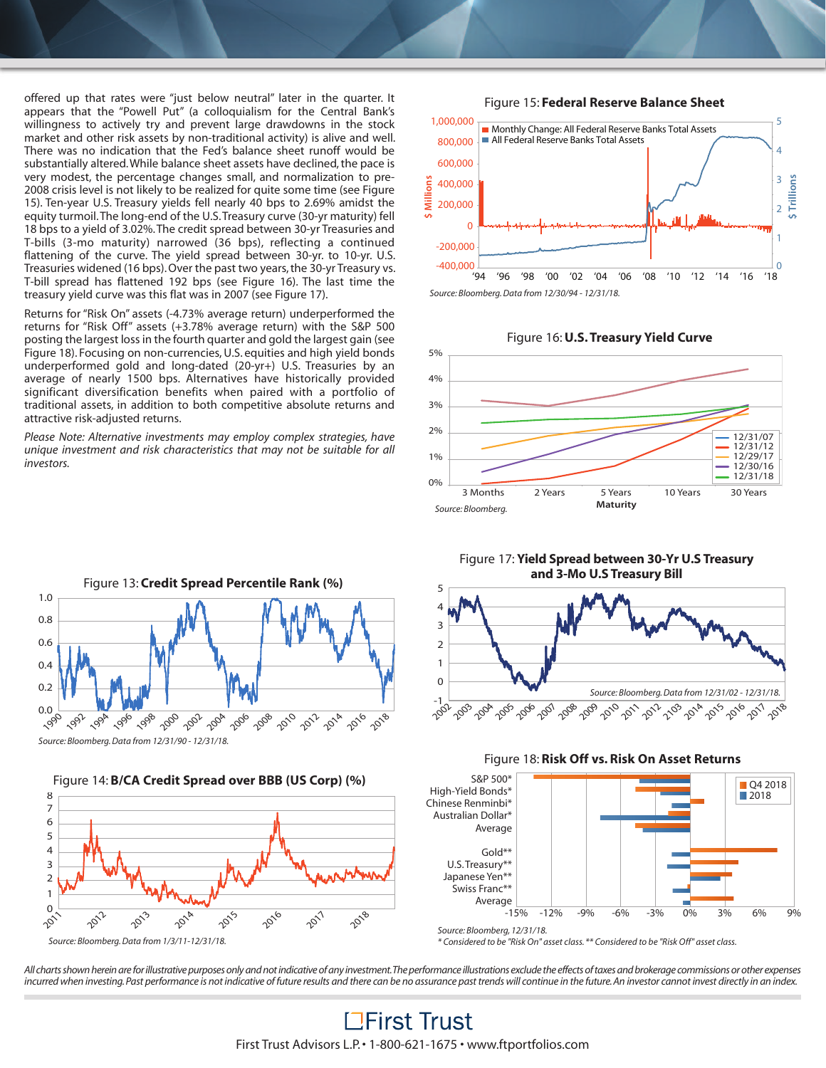offered up that rates were "just below neutral" later in the quarter. It appears that the "Powell Put" (a colloquialism for the Central Bank's willingness to actively try and prevent large drawdowns in the stock market and other risk assets by non-traditional activity) is alive and well. There was no indication that the Fed's balance sheet runoff would be substantially altered. While balance sheet assets have declined, the pace is very modest, the percentage changes small, and normalization to pre-2008 crisis level is not likely to be realized for quite some time (see Figure 15). Ten-year U.S. Treasury yields fell nearly 40 bps to 2.69% amidst the equity turmoil.The long-end of the U.S.Treasury curve (30-yr maturity) fell 18 bps to a yield of 3.02%.The credit spread between 30-yr Treasuries and T-bills (3-mo maturity) narrowed (36 bps), reflecting a continued flattening of the curve. The yield spread between 30-yr. to 10-yr. U.S. Treasuries widened (16 bps). Over the past two years, the 30-yr Treasury vs. T-bill spread has flattened 192 bps (see Figure 16). The last time the treasury yield curve was this flat was in 2007 (see Figure 17).

Returns for "Risk On" assets (-4.73% average return) underperformed the returns for "Risk Off" assets (+3.78% average return) with the S&P 500 posting the largest loss in the fourth quarter and gold the largest gain (see Figure 18). Focusing on non-currencies, U.S. equities and high yield bonds underperformed gold and long-dated (20-yr+) U.S. Treasuries by an average of nearly 1500 bps. Alternatives have historically provided significant diversification benefits when paired with a portfolio of traditional assets, in addition to both competitive absolute returns and attractive risk-adjusted returns.

*Please Note: Alternative investments may employ complex strategies, have unique investment and risk characteristics that may not be suitable for all investors.*



*Source: Bloomberg.Data from 12/31/90 - 12/31/18.*







5





# Figure 17: **Yield Spread between 30-Yr U.S Treasury and 3-Mo U.S Treasury Bill**







*\* Considered to be "Risk On" asset class. \*\* Considered to be "Risk Off" asset class.*

All charts shown herein are for illustrative purposes only and not indicative of any investment. The performance illustrations exclude the effects of taxes and brokerage commissions or other expenses incurred when investing. Past performance is not indicative of future results and there can be no assurance past trends will continue in the future. An investor cannot invest directly in an index.

> **LEirst Trust** First Trust Advisors L.P.• 1-800-621-1675 • www.ftportfolios.com